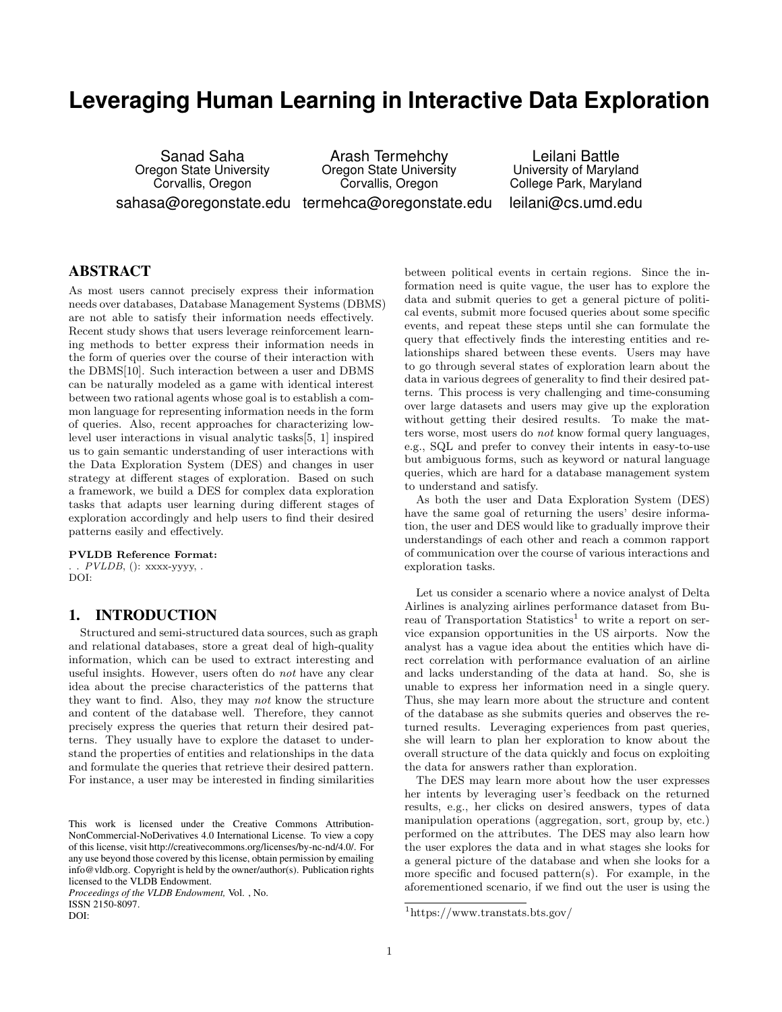# **Leveraging Human Learning in Interactive Data Exploration**

Sanad Saha Oregon State University Corvallis, Oregon

sahasa@oregonstate.edu termehca@oregonstate.edu Arash Termehchy Oregon State University Corvallis, Oregon

Leilani Battle University of Maryland College Park, Maryland leilani@cs.umd.edu

# ABSTRACT

As most users cannot precisely express their information needs over databases, Database Management Systems (DBMS) are not able to satisfy their information needs effectively. Recent study shows that users leverage reinforcement learning methods to better express their information needs in the form of queries over the course of their interaction with the DBMS[10]. Such interaction between a user and DBMS can be naturally modeled as a game with identical interest between two rational agents whose goal is to establish a common language for representing information needs in the form of queries. Also, recent approaches for characterizing lowlevel user interactions in visual analytic tasks[5, 1] inspired us to gain semantic understanding of user interactions with the Data Exploration System (DES) and changes in user strategy at different stages of exploration. Based on such a framework, we build a DES for complex data exploration tasks that adapts user learning during different stages of exploration accordingly and help users to find their desired patterns easily and effectively.

PVLDB Reference Format: .  $PVLDB$ , (): xxxx-yyyy, .

DOI:

# 1. INTRODUCTION

Structured and semi-structured data sources, such as graph and relational databases, store a great deal of high-quality information, which can be used to extract interesting and useful insights. However, users often do not have any clear idea about the precise characteristics of the patterns that they want to find. Also, they may not know the structure and content of the database well. Therefore, they cannot precisely express the queries that return their desired patterns. They usually have to explore the dataset to understand the properties of entities and relationships in the data and formulate the queries that retrieve their desired pattern. For instance, a user may be interested in finding similarities

*Proceedings of the VLDB Endowment,* Vol. , No. ISSN 2150-8097.

DOI:

between political events in certain regions. Since the information need is quite vague, the user has to explore the data and submit queries to get a general picture of political events, submit more focused queries about some specific events, and repeat these steps until she can formulate the query that effectively finds the interesting entities and relationships shared between these events. Users may have to go through several states of exploration learn about the data in various degrees of generality to find their desired patterns. This process is very challenging and time-consuming over large datasets and users may give up the exploration without getting their desired results. To make the matters worse, most users do not know formal query languages, e.g., SQL and prefer to convey their intents in easy-to-use but ambiguous forms, such as keyword or natural language queries, which are hard for a database management system to understand and satisfy.

As both the user and Data Exploration System (DES) have the same goal of returning the users' desire information, the user and DES would like to gradually improve their understandings of each other and reach a common rapport of communication over the course of various interactions and exploration tasks.

Let us consider a scenario where a novice analyst of Delta Airlines is analyzing airlines performance dataset from Bureau of Transportation Statistics<sup>1</sup> to write a report on service expansion opportunities in the US airports. Now the analyst has a vague idea about the entities which have direct correlation with performance evaluation of an airline and lacks understanding of the data at hand. So, she is unable to express her information need in a single query. Thus, she may learn more about the structure and content of the database as she submits queries and observes the returned results. Leveraging experiences from past queries, she will learn to plan her exploration to know about the overall structure of the data quickly and focus on exploiting the data for answers rather than exploration.

The DES may learn more about how the user expresses her intents by leveraging user's feedback on the returned results, e.g., her clicks on desired answers, types of data manipulation operations (aggregation, sort, group by, etc.) performed on the attributes. The DES may also learn how the user explores the data and in what stages she looks for a general picture of the database and when she looks for a more specific and focused pattern(s). For example, in the aforementioned scenario, if we find out the user is using the

This work is licensed under the Creative Commons Attribution-NonCommercial-NoDerivatives 4.0 International License. To view a copy of this license, visit http://creativecommons.org/licenses/by-nc-nd/4.0/. For any use beyond those covered by this license, obtain permission by emailing info@vldb.org. Copyright is held by the owner/author(s). Publication rights licensed to the VLDB Endowment.

<sup>1</sup>https://www.transtats.bts.gov/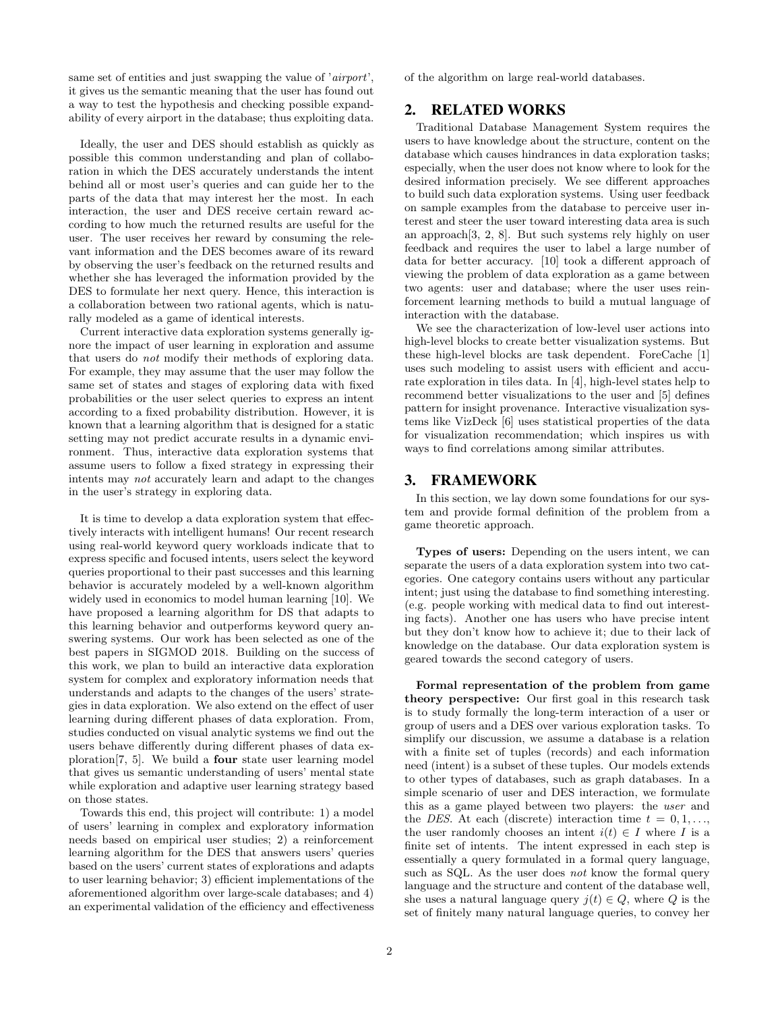same set of entities and just swapping the value of 'airport', it gives us the semantic meaning that the user has found out a way to test the hypothesis and checking possible expandability of every airport in the database; thus exploiting data.

Ideally, the user and DES should establish as quickly as possible this common understanding and plan of collaboration in which the DES accurately understands the intent behind all or most user's queries and can guide her to the parts of the data that may interest her the most. In each interaction, the user and DES receive certain reward according to how much the returned results are useful for the user. The user receives her reward by consuming the relevant information and the DES becomes aware of its reward by observing the user's feedback on the returned results and whether she has leveraged the information provided by the DES to formulate her next query. Hence, this interaction is a collaboration between two rational agents, which is naturally modeled as a game of identical interests.

Current interactive data exploration systems generally ignore the impact of user learning in exploration and assume that users do not modify their methods of exploring data. For example, they may assume that the user may follow the same set of states and stages of exploring data with fixed probabilities or the user select queries to express an intent according to a fixed probability distribution. However, it is known that a learning algorithm that is designed for a static setting may not predict accurate results in a dynamic environment. Thus, interactive data exploration systems that assume users to follow a fixed strategy in expressing their intents may not accurately learn and adapt to the changes in the user's strategy in exploring data.

It is time to develop a data exploration system that effectively interacts with intelligent humans! Our recent research using real-world keyword query workloads indicate that to express specific and focused intents, users select the keyword queries proportional to their past successes and this learning behavior is accurately modeled by a well-known algorithm widely used in economics to model human learning [10]. We have proposed a learning algorithm for DS that adapts to this learning behavior and outperforms keyword query answering systems. Our work has been selected as one of the best papers in SIGMOD 2018. Building on the success of this work, we plan to build an interactive data exploration system for complex and exploratory information needs that understands and adapts to the changes of the users' strategies in data exploration. We also extend on the effect of user learning during different phases of data exploration. From, studies conducted on visual analytic systems we find out the users behave differently during different phases of data exploration[7, 5]. We build a four state user learning model that gives us semantic understanding of users' mental state while exploration and adaptive user learning strategy based on those states.

Towards this end, this project will contribute: 1) a model of users' learning in complex and exploratory information needs based on empirical user studies; 2) a reinforcement learning algorithm for the DES that answers users' queries based on the users' current states of explorations and adapts to user learning behavior; 3) efficient implementations of the aforementioned algorithm over large-scale databases; and 4) an experimental validation of the efficiency and effectiveness of the algorithm on large real-world databases.

## 2. RELATED WORKS

Traditional Database Management System requires the users to have knowledge about the structure, content on the database which causes hindrances in data exploration tasks; especially, when the user does not know where to look for the desired information precisely. We see different approaches to build such data exploration systems. Using user feedback on sample examples from the database to perceive user interest and steer the user toward interesting data area is such an approach[3, 2, 8]. But such systems rely highly on user feedback and requires the user to label a large number of data for better accuracy. [10] took a different approach of viewing the problem of data exploration as a game between two agents: user and database; where the user uses reinforcement learning methods to build a mutual language of interaction with the database.

We see the characterization of low-level user actions into high-level blocks to create better visualization systems. But these high-level blocks are task dependent. ForeCache [1] uses such modeling to assist users with efficient and accurate exploration in tiles data. In [4], high-level states help to recommend better visualizations to the user and [5] defines pattern for insight provenance. Interactive visualization systems like VizDeck [6] uses statistical properties of the data for visualization recommendation; which inspires us with ways to find correlations among similar attributes.

## 3. FRAMEWORK

In this section, we lay down some foundations for our system and provide formal definition of the problem from a game theoretic approach.

Types of users: Depending on the users intent, we can separate the users of a data exploration system into two categories. One category contains users without any particular intent; just using the database to find something interesting. (e.g. people working with medical data to find out interesting facts). Another one has users who have precise intent but they don't know how to achieve it; due to their lack of knowledge on the database. Our data exploration system is geared towards the second category of users.

Formal representation of the problem from game theory perspective: Our first goal in this research task is to study formally the long-term interaction of a user or group of users and a DES over various exploration tasks. To simplify our discussion, we assume a database is a relation with a finite set of tuples (records) and each information need (intent) is a subset of these tuples. Our models extends to other types of databases, such as graph databases. In a simple scenario of user and DES interaction, we formulate this as a game played between two players: the user and the DES. At each (discrete) interaction time  $t = 0, 1, \ldots$ , the user randomly chooses an intent  $i(t) \in I$  where I is a finite set of intents. The intent expressed in each step is essentially a query formulated in a formal query language, such as SQL. As the user does not know the formal query language and the structure and content of the database well, she uses a natural language query  $j(t) \in Q$ , where Q is the set of finitely many natural language queries, to convey her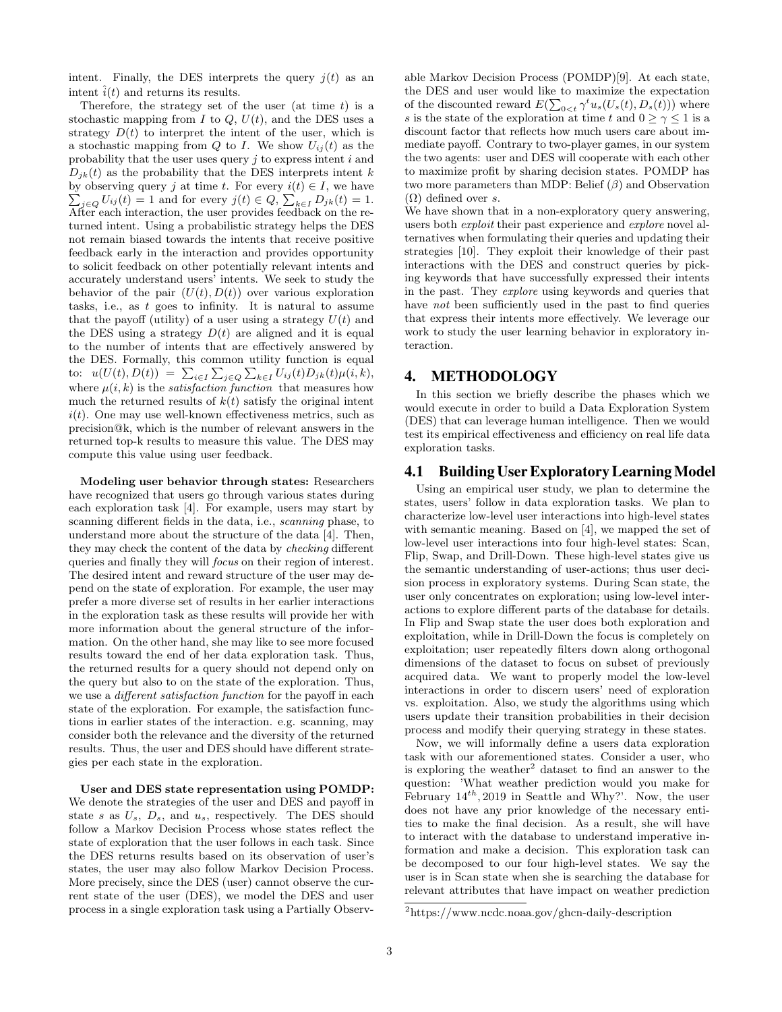intent. Finally, the DES interprets the query  $j(t)$  as an intent  $\hat{i}(t)$  and returns its results.

Therefore, the strategy set of the user (at time  $t$ ) is a stochastic mapping from  $I$  to  $Q$ ,  $U(t)$ , and the DES uses a strategy  $D(t)$  to interpret the intent of the user, which is a stochastic mapping from  $Q$  to  $I$ . We show  $U_{ij}(t)$  as the probability that the user uses query  $j$  to express intent  $i$  and  $D_{ik}(t)$  as the probability that the DES interprets intent k by observing query j at time t. For every  $i(t) \in I$ , we have  $\sum_{j\in Q} U_{ij}(t) = 1$  and for every  $j(t) \in Q$ ,  $\sum_{k\in I} D_{jk}(t) = 1$ . After each interaction, the user provides feedback on the returned intent. Using a probabilistic strategy helps the DES not remain biased towards the intents that receive positive feedback early in the interaction and provides opportunity to solicit feedback on other potentially relevant intents and accurately understand users' intents. We seek to study the behavior of the pair  $(U(t), D(t))$  over various exploration tasks, i.e., as  $t$  goes to infinity. It is natural to assume that the payoff (utility) of a user using a strategy  $U(t)$  and the DES using a strategy  $D(t)$  are aligned and it is equal to the number of intents that are effectively answered by the DES. Formally, this common utility function is equal to:  $u(U(t), D(t)) = \sum_{i \in I} \sum_{j \in Q} \sum_{k \in I} U_{ij}(t) D_{jk}(t) \mu(i, k),$ where  $\mu(i, k)$  is the *satisfaction function* that measures how much the returned results of  $k(t)$  satisfy the original intent  $i(t)$ . One may use well-known effectiveness metrics, such as precision@k, which is the number of relevant answers in the returned top-k results to measure this value. The DES may compute this value using user feedback.

Modeling user behavior through states: Researchers have recognized that users go through various states during each exploration task [4]. For example, users may start by scanning different fields in the data, i.e., scanning phase, to understand more about the structure of the data [4]. Then, they may check the content of the data by checking different queries and finally they will focus on their region of interest. The desired intent and reward structure of the user may depend on the state of exploration. For example, the user may prefer a more diverse set of results in her earlier interactions in the exploration task as these results will provide her with more information about the general structure of the information. On the other hand, she may like to see more focused results toward the end of her data exploration task. Thus, the returned results for a query should not depend only on the query but also to on the state of the exploration. Thus, we use a *different satisfaction function* for the payoff in each state of the exploration. For example, the satisfaction functions in earlier states of the interaction. e.g. scanning, may consider both the relevance and the diversity of the returned results. Thus, the user and DES should have different strategies per each state in the exploration.

User and DES state representation using POMDP: We denote the strategies of the user and DES and payoff in state s as  $U_s$ ,  $D_s$ , and  $u_s$ , respectively. The DES should follow a Markov Decision Process whose states reflect the state of exploration that the user follows in each task. Since the DES returns results based on its observation of user's states, the user may also follow Markov Decision Process. More precisely, since the DES (user) cannot observe the current state of the user (DES), we model the DES and user process in a single exploration task using a Partially Observable Markov Decision Process (POMDP)[9]. At each state, the DES and user would like to maximize the expectation of the discounted reward  $E(\sum_{0 < t} \gamma^t u_s(U_s(t), D_s(t)))$  where s is the state of the exploration at time t and  $0 \geq \gamma \leq 1$  is a discount factor that reflects how much users care about immediate payoff. Contrary to two-player games, in our system the two agents: user and DES will cooperate with each other to maximize profit by sharing decision states. POMDP has two more parameters than MDP: Belief  $(\beta)$  and Observation  $(\Omega)$  defined over s.

We have shown that in a non-exploratory query answering, users both *exploit* their past experience and *explore* novel alternatives when formulating their queries and updating their strategies [10]. They exploit their knowledge of their past interactions with the DES and construct queries by picking keywords that have successfully expressed their intents in the past. They explore using keywords and queries that have *not* been sufficiently used in the past to find queries that express their intents more effectively. We leverage our work to study the user learning behavior in exploratory interaction.

## 4. METHODOLOGY

In this section we briefly describe the phases which we would execute in order to build a Data Exploration System (DES) that can leverage human intelligence. Then we would test its empirical effectiveness and efficiency on real life data exploration tasks.

## 4.1 Building User Exploratory Learning Model

Using an empirical user study, we plan to determine the states, users' follow in data exploration tasks. We plan to characterize low-level user interactions into high-level states with semantic meaning. Based on [4], we mapped the set of low-level user interactions into four high-level states: Scan, Flip, Swap, and Drill-Down. These high-level states give us the semantic understanding of user-actions; thus user decision process in exploratory systems. During Scan state, the user only concentrates on exploration; using low-level interactions to explore different parts of the database for details. In Flip and Swap state the user does both exploration and exploitation, while in Drill-Down the focus is completely on exploitation; user repeatedly filters down along orthogonal dimensions of the dataset to focus on subset of previously acquired data. We want to properly model the low-level interactions in order to discern users' need of exploration vs. exploitation. Also, we study the algorithms using which users update their transition probabilities in their decision process and modify their querying strategy in these states.

Now, we will informally define a users data exploration task with our aforementioned states. Consider a user, who is exploring the weather<sup>2</sup> dataset to find an answer to the question: 'What weather prediction would you make for February  $14^{th}$ , 2019 in Seattle and Why?'. Now, the user does not have any prior knowledge of the necessary entities to make the final decision. As a result, she will have to interact with the database to understand imperative information and make a decision. This exploration task can be decomposed to our four high-level states. We say the user is in Scan state when she is searching the database for relevant attributes that have impact on weather prediction

<sup>2</sup>https://www.ncdc.noaa.gov/ghcn-daily-description